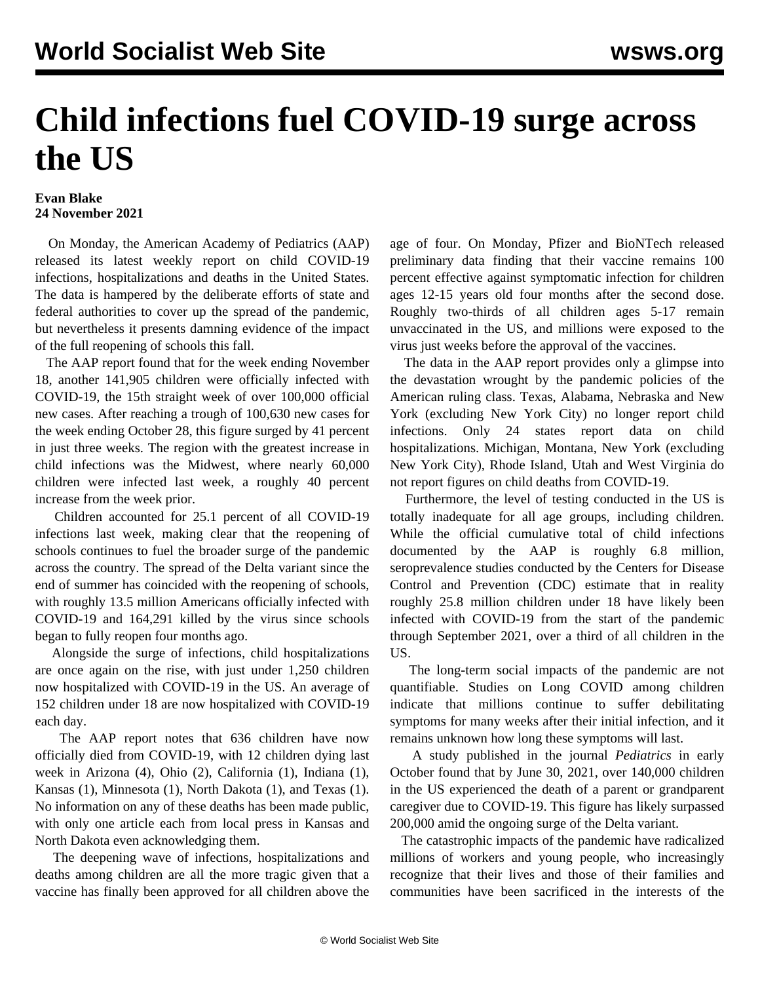## **Child infections fuel COVID-19 surge across the US**

## **Evan Blake 24 November 2021**

 On Monday, the American Academy of Pediatrics (AAP) released its latest weekly report on child COVID-19 infections, hospitalizations and deaths in the United States. The data is hampered by the deliberate efforts of state and federal authorities to cover up the spread of the pandemic, but nevertheless it presents damning evidence of the impact of the full reopening of schools this fall.

 The AAP report found that for the week ending November 18, another 141,905 children were officially infected with COVID-19, the 15th straight week of over 100,000 official new cases. After reaching a trough of 100,630 new cases for the week ending October 28, this figure surged by 41 percent in just three weeks. The region with the greatest increase in child infections was the Midwest, where nearly 60,000 children were infected last week, a roughly 40 percent increase from the week prior.

 Children accounted for 25.1 percent of all COVID-19 infections last week, making clear that the reopening of schools continues to fuel the broader surge of the pandemic across the country. The spread of the Delta variant since the end of summer has coincided with the reopening of schools, with roughly 13.5 million Americans officially infected with COVID-19 and 164,291 killed by the virus since schools began to fully reopen four months ago.

 Alongside the surge of infections, child hospitalizations are once again on the rise, with just under 1,250 children now hospitalized with COVID-19 in the US. An average of 152 children under 18 are now hospitalized with COVID-19 each day.

 The AAP report notes that 636 children have now officially died from COVID-19, with 12 children dying last week in Arizona (4), Ohio (2), California (1), Indiana (1), Kansas (1), Minnesota (1), North Dakota (1), and Texas (1). No information on any of these deaths has been made public, with only one article each from local press in Kansas and North Dakota even acknowledging them.

 The deepening wave of infections, hospitalizations and deaths among children are all the more tragic given that a vaccine has finally been approved for all children above the age of four. On Monday, Pfizer and BioNTech released preliminary data finding that their vaccine remains 100 percent effective against symptomatic infection for children ages 12-15 years old four months after the second dose. Roughly two-thirds of all children ages 5-17 remain unvaccinated in the US, and millions were exposed to the virus just weeks before the approval of the vaccines.

 The data in the AAP report provides only a glimpse into the devastation wrought by the pandemic policies of the American ruling class. Texas, Alabama, Nebraska and New York (excluding New York City) no longer report child infections. Only 24 states report data on child hospitalizations. Michigan, Montana, New York (excluding New York City), Rhode Island, Utah and West Virginia do not report figures on child deaths from COVID-19.

 Furthermore, the level of testing conducted in the US is totally inadequate for all age groups, including children. While the official cumulative total of child infections documented by the AAP is roughly 6.8 million, seroprevalence studies conducted by the Centers for Disease Control and Prevention (CDC) [estimate that in reality](https://www.cdc.gov/coronavirus/2019-ncov/cases-updates/burden.html) roughly 25.8 million children under 18 have likely been infected with COVID-19 from the start of the pandemic through September 2021, over a third of all children in the US.

 The long-term social impacts of the pandemic are not quantifiable. Studies on Long COVID among children indicate that millions continue to suffer debilitating symptoms for many weeks after their initial infection, and it remains unknown how long these symptoms will last.

 A study published in the journal *Pediatrics* in early October found that by June 30, 2021, over 140,000 children in the US experienced the death of a parent or grandparent caregiver due to COVID-19. This figure has likely surpassed 200,000 amid the ongoing surge of the Delta variant.

 The catastrophic impacts of the pandemic have radicalized millions of workers and young people, who increasingly recognize that their lives and those of their families and communities have been sacrificed in the interests of the